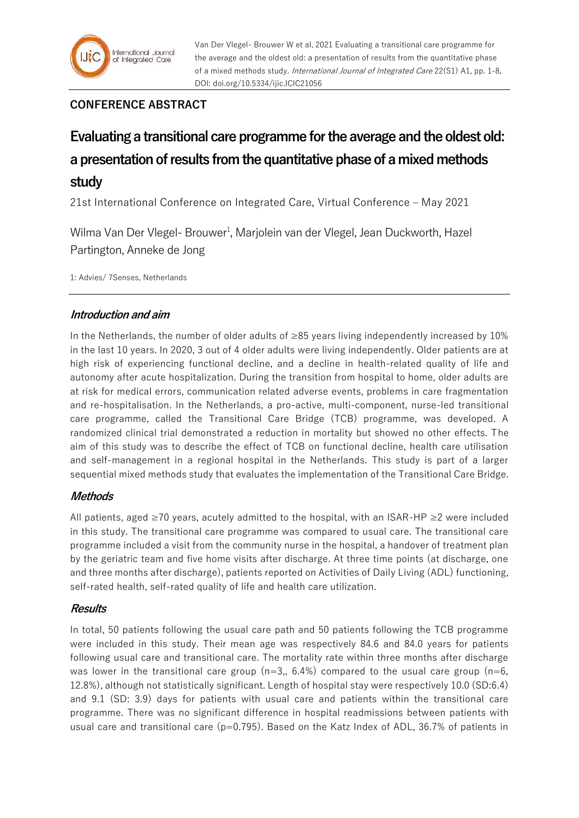## **CONFERENCE ABSTRACT**

# **Evaluating a transitional care programme for the average and the oldest old: a presentation of results from the quantitative phase of a mixed methods study**

21st International Conference on Integrated Care, Virtual Conference – May 2021

Wilma Van Der Vlegel- Brouwer<sup>1</sup>, Marjolein van der Vlegel, Jean Duckworth, Hazel Partington, Anneke de Jong

1: Advies/ 7Senses, Netherlands

### **Introduction and aim**

In the Netherlands, the number of older adults of ≥85 years living independently increased by 10% in the last 10 years. In 2020, 3 out of 4 older adults were living independently. Older patients are at high risk of experiencing functional decline, and a decline in health-related quality of life and autonomy after acute hospitalization. During the transition from hospital to home, older adults are at risk for medical errors, communication related adverse events, problems in care fragmentation and re-hospitalisation. In the Netherlands, a pro-active, multi-component, nurse-led transitional care programme, called the Transitional Care Bridge (TCB) programme, was developed. A randomized clinical trial demonstrated a reduction in mortality but showed no other effects. The aim of this study was to describe the effect of TCB on functional decline, health care utilisation and self-management in a regional hospital in the Netherlands. This study is part of a larger sequential mixed methods study that evaluates the implementation of the Transitional Care Bridge.

## **Methods**

All patients, aged ≥70 years, acutely admitted to the hospital, with an ISAR-HP ≥2 were included in this study. The transitional care programme was compared to usual care. The transitional care programme included a visit from the community nurse in the hospital, a handover of treatment plan by the geriatric team and five home visits after discharge. At three time points (at discharge, one and three months after discharge), patients reported on Activities of Daily Living (ADL) functioning, self-rated health, self-rated quality of life and health care utilization.

### **Results**

In total, 50 patients following the usual care path and 50 patients following the TCB programme were included in this study. Their mean age was respectively 84.6 and 84.0 years for patients following usual care and transitional care. The mortality rate within three months after discharge was lower in the transitional care group  $(n=3, 6.4\%)$  compared to the usual care group  $(n=6, 6.6\%)$ 12.8%), although not statistically significant. Length of hospital stay were respectively 10.0 (SD:6.4) and 9.1 (SD: 3.9) days for patients with usual care and patients within the transitional care programme. There was no significant difference in hospital readmissions between patients with usual care and transitional care ( $p=0.795$ ). Based on the Katz Index of ADL, 36.7% of patients in